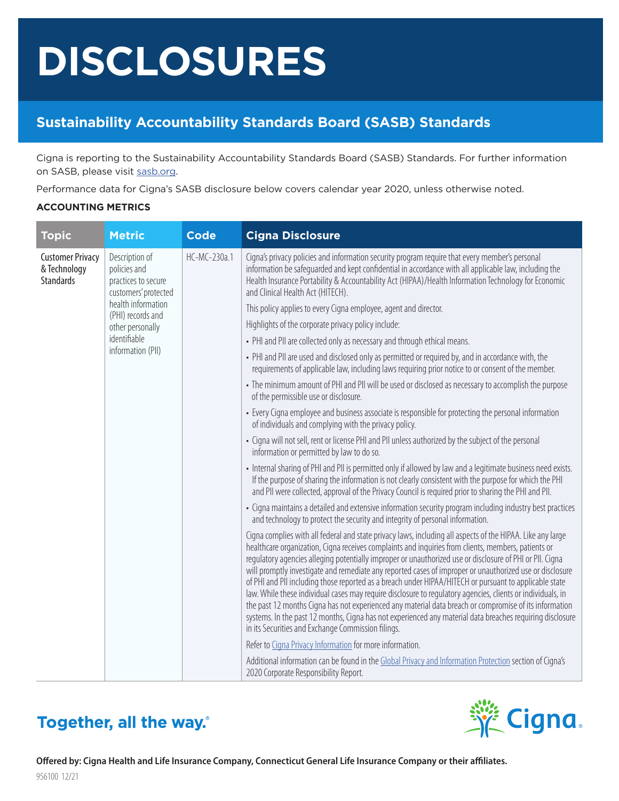# **DISCLOSURES**

### **Sustainability Accountability Standards Board (SASB) Standards**

Cigna is reporting to the Sustainability Accountability Standards Board (SASB) Standards. For further information on SASB, please visit [sasb.org.](https://www.sasb.org/)

Performance data for Cigna's SASB disclosure below covers calendar year 2020, unless otherwise noted.

#### **ACCOUNTING METRICS**

| <b>Topic</b>                                                | <b>Metric</b>                                                                                                                                                                     | <b>Code</b>  | <b>Cigna Disclosure</b>                                                                                                                                                                                                                                                                                                                                                                                                                                                                                                                                                                                                                                                                                                                                                                                                                                                                                                                         |
|-------------------------------------------------------------|-----------------------------------------------------------------------------------------------------------------------------------------------------------------------------------|--------------|-------------------------------------------------------------------------------------------------------------------------------------------------------------------------------------------------------------------------------------------------------------------------------------------------------------------------------------------------------------------------------------------------------------------------------------------------------------------------------------------------------------------------------------------------------------------------------------------------------------------------------------------------------------------------------------------------------------------------------------------------------------------------------------------------------------------------------------------------------------------------------------------------------------------------------------------------|
| <b>Customer Privacy</b><br>& Technology<br><b>Standards</b> | Description of<br>policies and<br>practices to secure<br>customers' protected<br>health information<br>(PHI) records and<br>other personally<br>identifiable<br>information (PII) | HC-MC-230a.1 | Cigna's privacy policies and information security program require that every member's personal<br>information be safeguarded and kept confidential in accordance with all applicable law, including the<br>Health Insurance Portability & Accountability Act (HIPAA)/Health Information Technology for Economic<br>and Clinical Health Act (HITECH).                                                                                                                                                                                                                                                                                                                                                                                                                                                                                                                                                                                            |
|                                                             |                                                                                                                                                                                   |              | This policy applies to every Cigna employee, agent and director.                                                                                                                                                                                                                                                                                                                                                                                                                                                                                                                                                                                                                                                                                                                                                                                                                                                                                |
|                                                             |                                                                                                                                                                                   |              | Highlights of the corporate privacy policy include:                                                                                                                                                                                                                                                                                                                                                                                                                                                                                                                                                                                                                                                                                                                                                                                                                                                                                             |
|                                                             |                                                                                                                                                                                   |              | • PHI and PII are collected only as necessary and through ethical means.                                                                                                                                                                                                                                                                                                                                                                                                                                                                                                                                                                                                                                                                                                                                                                                                                                                                        |
|                                                             |                                                                                                                                                                                   |              | • PHI and PII are used and disclosed only as permitted or required by, and in accordance with, the<br>requirements of applicable law, including laws requiring prior notice to or consent of the member.                                                                                                                                                                                                                                                                                                                                                                                                                                                                                                                                                                                                                                                                                                                                        |
|                                                             |                                                                                                                                                                                   |              | • The minimum amount of PHI and PII will be used or disclosed as necessary to accomplish the purpose<br>of the permissible use or disclosure.                                                                                                                                                                                                                                                                                                                                                                                                                                                                                                                                                                                                                                                                                                                                                                                                   |
|                                                             |                                                                                                                                                                                   |              | • Every Cigna employee and business associate is responsible for protecting the personal information<br>of individuals and complying with the privacy policy.                                                                                                                                                                                                                                                                                                                                                                                                                                                                                                                                                                                                                                                                                                                                                                                   |
|                                                             |                                                                                                                                                                                   |              | • Cigna will not sell, rent or license PHI and PII unless authorized by the subject of the personal<br>information or permitted by law to do so.                                                                                                                                                                                                                                                                                                                                                                                                                                                                                                                                                                                                                                                                                                                                                                                                |
|                                                             |                                                                                                                                                                                   |              | • Internal sharing of PHI and PII is permitted only if allowed by law and a legitimate business need exists.<br>If the purpose of sharing the information is not clearly consistent with the purpose for which the PHI<br>and PII were collected, approval of the Privacy Council is required prior to sharing the PHI and PII.                                                                                                                                                                                                                                                                                                                                                                                                                                                                                                                                                                                                                 |
|                                                             |                                                                                                                                                                                   |              | • Cigna maintains a detailed and extensive information security program including industry best practices<br>and technology to protect the security and integrity of personal information.                                                                                                                                                                                                                                                                                                                                                                                                                                                                                                                                                                                                                                                                                                                                                      |
|                                                             |                                                                                                                                                                                   |              | Cigna complies with all federal and state privacy laws, including all aspects of the HIPAA. Like any large<br>healthcare organization, Cigna receives complaints and inquiries from clients, members, patients or<br>regulatory agencies alleging potentially improper or unauthorized use or disclosure of PHI or PII. Cigna<br>will promptly investigate and remediate any reported cases of improper or unauthorized use or disclosure<br>of PHI and PII including those reported as a breach under HIPAA/HITECH or pursuant to applicable state<br>law. While these individual cases may require disclosure to regulatory agencies, clients or individuals, in<br>the past 12 months Cigna has not experienced any material data breach or compromise of its information<br>systems. In the past 12 months, Cigna has not experienced any material data breaches requiring disclosure<br>in its Securities and Exchange Commission filings. |
|                                                             |                                                                                                                                                                                   |              | Refer to Cigna Privacy Information for more information.                                                                                                                                                                                                                                                                                                                                                                                                                                                                                                                                                                                                                                                                                                                                                                                                                                                                                        |
|                                                             |                                                                                                                                                                                   |              | Additional information can be found in the Global Privacy and Information Protection section of Cigna's<br>2020 Corporate Responsibility Report.                                                                                                                                                                                                                                                                                                                                                                                                                                                                                                                                                                                                                                                                                                                                                                                                |

## Together, all the way.

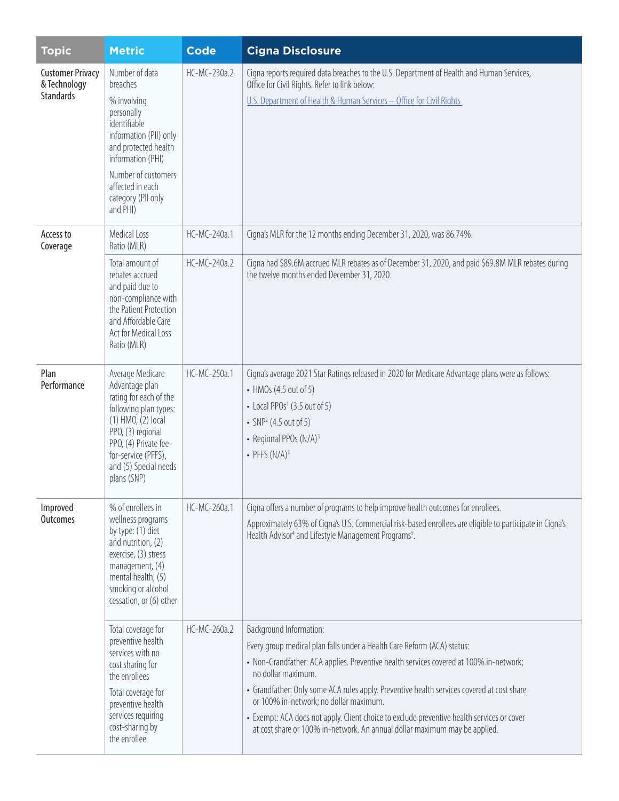| <b>Topic</b>                                                | <b>Metric</b>                                                                                                                                                                                                               | <b>Code</b>                  | <b>Cigna Disclosure</b>                                                                                                                                                                                                                                                                                                                                                                                                                                                                                                                |
|-------------------------------------------------------------|-----------------------------------------------------------------------------------------------------------------------------------------------------------------------------------------------------------------------------|------------------------------|----------------------------------------------------------------------------------------------------------------------------------------------------------------------------------------------------------------------------------------------------------------------------------------------------------------------------------------------------------------------------------------------------------------------------------------------------------------------------------------------------------------------------------------|
| <b>Customer Privacy</b><br>& Technology<br><b>Standards</b> | Number of data<br>breaches<br>% involving<br>personally<br>identifiable<br>information (PII) only<br>and protected health<br>information (PHI)<br>Number of customers<br>affected in each<br>category (PII only<br>and PHI) | HC-MC-230a.2                 | Cigna reports required data breaches to the U.S. Department of Health and Human Services,<br>Office for Civil Rights. Refer to link below:<br>U.S. Department of Health & Human Services - Office for Civil Rights                                                                                                                                                                                                                                                                                                                     |
| Access to<br>Coverage                                       | <b>Medical Loss</b><br>Ratio (MLR)<br>Total amount of<br>rebates accrued<br>and paid due to<br>non-compliance with<br>the Patient Protection<br>and Affordable Care<br>Act for Medical Loss<br>Ratio (MLR)                  | HC-MC-240a.1<br>HC-MC-240a.2 | Cigna's MLR for the 12 months ending December 31, 2020, was 86.74%.<br>Cigna had \$89.6M accrued MLR rebates as of December 31, 2020, and paid \$69.8M MLR rebates during<br>the twelve months ended December 31, 2020.                                                                                                                                                                                                                                                                                                                |
| Plan<br>Performance                                         | Average Medicare<br>Advantage plan<br>rating for each of the<br>following plan types:<br>(1) HMO, (2) local<br>PPO, (3) regional<br>PPO, (4) Private fee-<br>for-service (PFFS),<br>and (5) Special needs<br>plans (SNP)    | HC-MC-250a.1                 | Cigna's average 2021 Star Ratings released in 2020 for Medicare Advantage plans were as follows:<br>• HMOs (4.5 out of 5)<br>• Local PPOs <sup>1</sup> (3.5 out of 5)<br>• $SNP2$ (4.5 out of 5)<br>• Regional PPOs (N/A) <sup>3</sup><br>• PFFS $(N/A)^3$                                                                                                                                                                                                                                                                             |
| Improved<br><b>Outcomes</b>                                 | % of enrollees in<br>wellness programs<br>by type: (1) diet<br>and nutrition, (2)<br>exercise, (3) stress<br>management, (4)<br>mental health, (5)<br>smoking or alcohol<br>cessation, or (6) other                         | HC-MC-260a.1                 | Cigna offers a number of programs to help improve health outcomes for enrollees.<br>Approximately 63% of Cigna's U.S. Commercial risk-based enrollees are eligible to participate in Cigna's<br>Health Advisor <sup>4</sup> and Lifestyle Management Programs <sup>5</sup> .                                                                                                                                                                                                                                                           |
|                                                             | Total coverage for<br>preventive health<br>services with no<br>cost sharing for<br>the enrollees<br>Total coverage for<br>preventive health<br>services requiring<br>cost-sharing by<br>the enrollee                        | HC-MC-260a.2                 | Background Information:<br>Every group medical plan falls under a Health Care Reform (ACA) status:<br>• Non-Grandfather: ACA applies. Preventive health services covered at 100% in-network;<br>no dollar maximum.<br>• Grandfather: Only some ACA rules apply. Preventive health services covered at cost share<br>or 100% in-network; no dollar maximum.<br>• Exempt: ACA does not apply. Client choice to exclude preventive health services or cover<br>at cost share or 100% in-network. An annual dollar maximum may be applied. |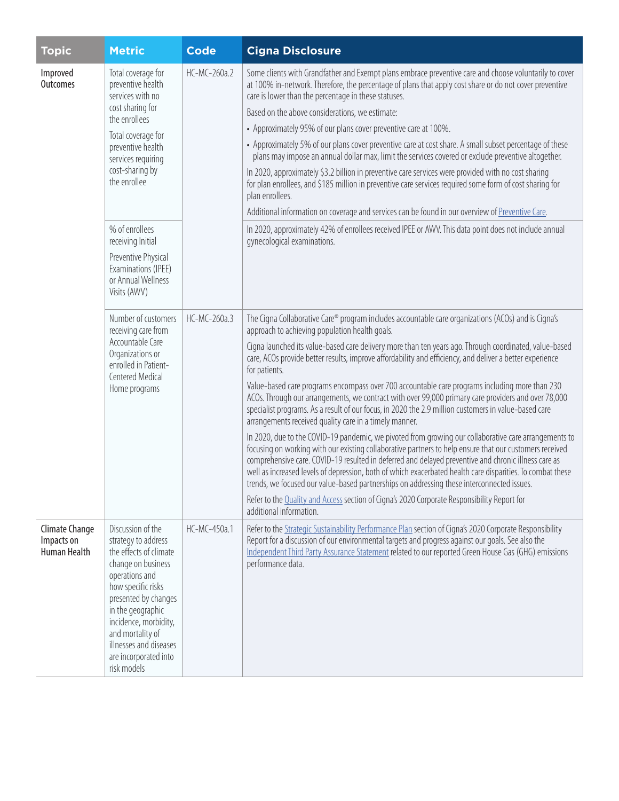| <b>Topic</b>                                        | <b>Metric</b>                                                                                                                                                                                                                                                                                | <b>Code</b>  | <b>Cigna Disclosure</b>                                                                                                                                                                                                                                                                                                                                                                                                                                                                                                                                                                                                                                                                                                                                                                                                                                                                                                                                                                                                                                                                                                                                                                                                                                                                                                                                                                                                                   |
|-----------------------------------------------------|----------------------------------------------------------------------------------------------------------------------------------------------------------------------------------------------------------------------------------------------------------------------------------------------|--------------|-------------------------------------------------------------------------------------------------------------------------------------------------------------------------------------------------------------------------------------------------------------------------------------------------------------------------------------------------------------------------------------------------------------------------------------------------------------------------------------------------------------------------------------------------------------------------------------------------------------------------------------------------------------------------------------------------------------------------------------------------------------------------------------------------------------------------------------------------------------------------------------------------------------------------------------------------------------------------------------------------------------------------------------------------------------------------------------------------------------------------------------------------------------------------------------------------------------------------------------------------------------------------------------------------------------------------------------------------------------------------------------------------------------------------------------------|
| Improved<br>Outcomes                                | Total coverage for<br>preventive health<br>services with no<br>cost sharing for<br>the enrollees<br>Total coverage for<br>preventive health<br>services requiring<br>cost-sharing by<br>the enrollee                                                                                         | HC-MC-260a.2 | Some clients with Grandfather and Exempt plans embrace preventive care and choose voluntarily to cover<br>at 100% in-network. Therefore, the percentage of plans that apply cost share or do not cover preventive<br>care is lower than the percentage in these statuses.<br>Based on the above considerations, we estimate:<br>• Approximately 95% of our plans cover preventive care at 100%.<br>• Approximately 5% of our plans cover preventive care at cost share. A small subset percentage of these<br>plans may impose an annual dollar max, limit the services covered or exclude preventive altogether.<br>In 2020, approximately \$3.2 billion in preventive care services were provided with no cost sharing<br>for plan enrollees, and \$185 million in preventive care services required some form of cost sharing for<br>plan enrollees.<br>Additional information on coverage and services can be found in our overview of Preventive Care.                                                                                                                                                                                                                                                                                                                                                                                                                                                                               |
|                                                     | % of enrollees<br>receiving Initial<br>Preventive Physical<br>Examinations (IPEE)<br>or Annual Wellness<br>Visits (AWV)                                                                                                                                                                      |              | In 2020, approximately 42% of enrollees received IPEE or AWV. This data point does not include annual<br>gynecological examinations.                                                                                                                                                                                                                                                                                                                                                                                                                                                                                                                                                                                                                                                                                                                                                                                                                                                                                                                                                                                                                                                                                                                                                                                                                                                                                                      |
|                                                     | Number of customers<br>receiving care from<br>Accountable Care<br>Organizations or<br>enrolled in Patient-<br>Centered Medical<br>Home programs                                                                                                                                              | HC-MC-260a.3 | The Cigna Collaborative Care® program includes accountable care organizations (ACOs) and is Cigna's<br>approach to achieving population health goals.<br>Cigna launched its value-based care delivery more than ten years ago. Through coordinated, value-based<br>care, ACOs provide better results, improve affordability and efficiency, and deliver a better experience<br>for patients.<br>Value-based care programs encompass over 700 accountable care programs including more than 230<br>ACOs. Through our arrangements, we contract with over 99,000 primary care providers and over 78,000<br>specialist programs. As a result of our focus, in 2020 the 2.9 million customers in value-based care<br>arrangements received quality care in a timely manner.<br>In 2020, due to the COVID-19 pandemic, we pivoted from growing our collaborative care arrangements to<br>focusing on working with our existing collaborative partners to help ensure that our customers received<br>comprehensive care. COVID-19 resulted in deferred and delayed preventive and chronic illness care as<br>well as increased levels of depression, both of which exacerbated health care disparities. To combat these<br>trends, we focused our value-based partnerships on addressing these interconnected issues.<br>Refer to the Quality and Access section of Cigna's 2020 Corporate Responsibility Report for<br>additional information. |
| <b>Climate Change</b><br>Impacts on<br>Human Health | Discussion of the<br>strategy to address<br>the effects of climate<br>change on business<br>operations and<br>how specific risks<br>presented by changes<br>in the geographic<br>incidence, morbidity,<br>and mortality of<br>illnesses and diseases<br>are incorporated into<br>risk models | HC-MC-450a.1 | Refer to the Strategic Sustainability Performance Plan section of Cigna's 2020 Corporate Responsibility<br>Report for a discussion of our environmental targets and progress against our goals. See also the<br>Independent Third Party Assurance Statement related to our reported Green House Gas (GHG) emissions<br>performance data.                                                                                                                                                                                                                                                                                                                                                                                                                                                                                                                                                                                                                                                                                                                                                                                                                                                                                                                                                                                                                                                                                                  |